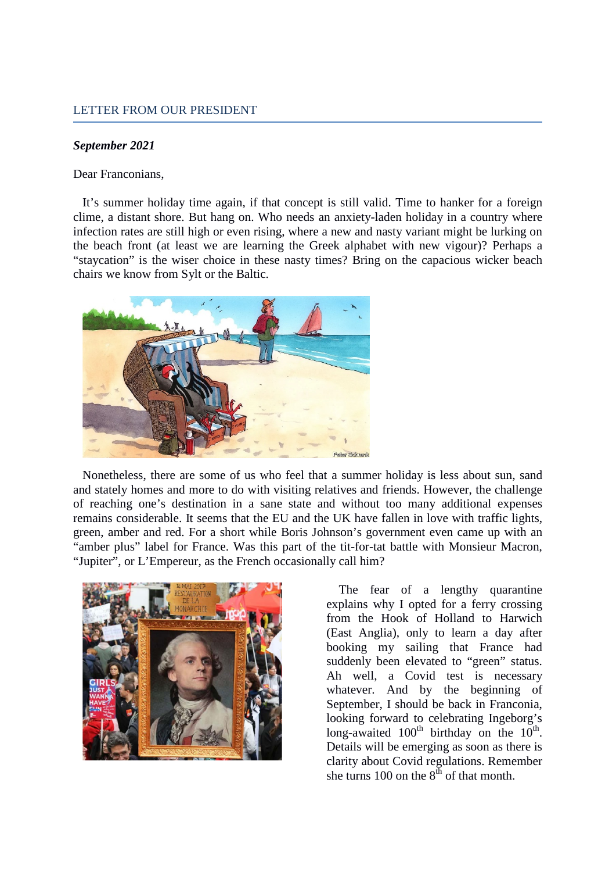## *September 2021*

Dear Franconians,

It's summer holiday time again, if that concept is still valid. Time to hanker for a foreign clime, a distant shore. But hang on. Who needs an anxiety-laden holiday in a country where infection rates are still high or even rising, where a new and nasty variant might be lurking on the beach front (at least we are learning the Greek alphabet with new vigour)? Perhaps a "staycation" is the wiser choice in these nasty times? Bring on the capacious wicker beach chairs we know from Sylt or the Baltic.



Nonetheless, there are some of us who feel that a summer holiday is less about sun, sand and stately homes and more to do with visiting relatives and friends. However, the challenge of reaching one's destination in a sane state and without too many additional expenses remains considerable. It seems that the EU and the UK have fallen in love with traffic lights, green, amber and red. For a short while Boris Johnson's government even came up with an "amber plus" label for France. Was this part of the tit-for-tat battle with Monsieur Macron, "Jupiter", or L'Empereur, as the French occasionally call him?



The fear of a lengthy quarantine explains why I opted for a ferry crossing from the Hook of Holland to Harwich (East Anglia), only to learn a day after booking my sailing that France had suddenly been elevated to "green" status. Ah well, a Covid test is necessary whatever. And by the beginning of September, I should be back in Franconia, looking forward to celebrating Ingeborg's long-awaited  $100^{th}$  birthday on the  $10^{th}$ . Details will be emerging as soon as there is clarity about Covid regulations. Remember she turns 100 on the  $8<sup>th</sup>$  of that month.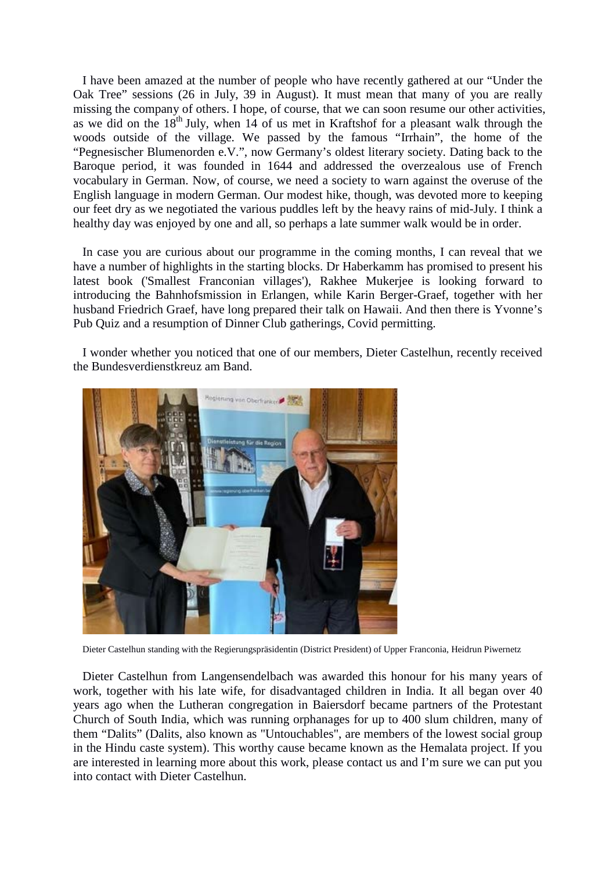I have been amazed at the number of people who have recently gathered at our "Under the Oak Tree" sessions (26 in July, 39 in August). It must mean that many of you are really missing the company of others. I hope, of course, that we can soon resume our other activities, as we did on the  $18<sup>th</sup>$  July, when 14 of us met in Kraftshof for a pleasant walk through the woods outside of the village. We passed by the famous "Irrhain", the home of the "Pegnesischer Blumenorden e.V.", now Germany's oldest literary society. Dating back to the Baroque period, it was founded in 1644 and addressed the overzealous use of French vocabulary in German. Now, of course, we need a society to warn against the overuse of the English language in modern German. Our modest hike, though, was devoted more to keeping our feet dry as we negotiated the various puddles left by the heavy rains of mid-July. I think a healthy day was enjoyed by one and all, so perhaps a late summer walk would be in order.

In case you are curious about our programme in the coming months, I can reveal that we have a number of highlights in the starting blocks. Dr Haberkamm has promised to present his latest book ('Smallest Franconian villages'), Rakhee Mukerjee is looking forward to introducing the Bahnhofsmission in Erlangen, while Karin Berger-Graef, together with her husband Friedrich Graef, have long prepared their talk on Hawaii. And then there is Yvonne's Pub Quiz and a resumption of Dinner Club gatherings, Covid permitting.

I wonder whether you noticed that one of our members, Dieter Castelhun, recently received the Bundesverdienstkreuz am Band.



Dieter Castelhun standing with the Regierungspräsidentin (District President) of Upper Franconia, Heidrun Piwernetz

Dieter Castelhun from Langensendelbach was awarded this honour for his many years of work, together with his late wife, for disadvantaged children in India. It all began over 40 years ago when the Lutheran congregation in Baiersdorf became partners of the Protestant Church of South India, which was running orphanages for up to 400 slum children, many of them "Dalits" (Dalits, also known as "Untouchables", are members of the lowest social group in the Hindu caste system). This worthy cause became known as the Hemalata project. If you are interested in learning more about this work, please contact us and I'm sure we can put you into contact with Dieter Castelhun.